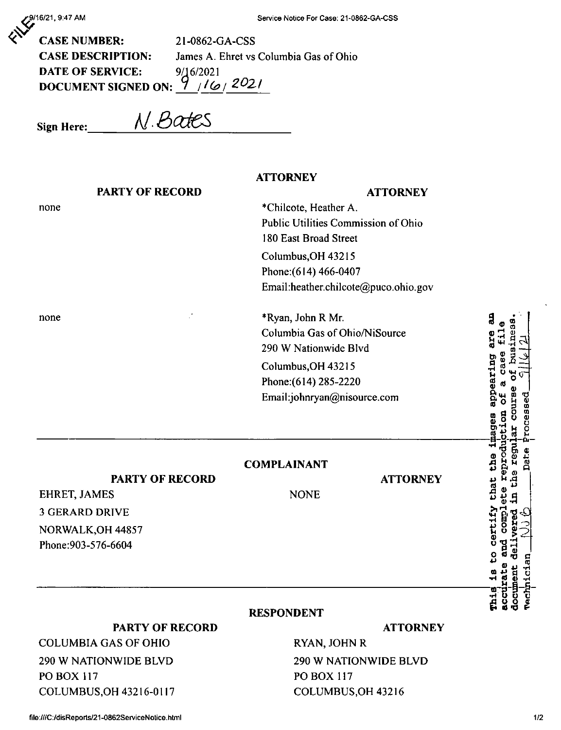9/16/21, 9:47 AM

**CASE NUMBER:** 21-0862-GA-CSS **CASE DESCRIPTION:** James A. Ehret vs Columbia Gas of Ohio **DATE OF SERVICE:** 9/16/2021 DOCUMENT SIGNED ON:  $9^{12021}$ /6/2021

N. Bates **Sign Here:** 

## **ATTORNEY PARTY OF RECORD ATTORNEY** \*Chilcote, Heather A. none Public Utilities Commission of Ohio 180 East Broad Street Columbus, OH 43215 Phone: (614) 466-0407 Email:heather.chilcote@puco.ohio.gov \*Ryan, John R Mr. none ă  $\Phi$ Columbia Gas of Ohio/NiSource appearing are 290 W Nationwide Blvd Case Columbus, OH 43215 Phone: (614) 285-2220 Email:johnryan@nisource.com renrod certify that the **COMPLAINANT PARTY OF RECORD ATTORNEY EHRET, JAMES NONE 3 GERARD DRIVE** NORWALK, OH 44857 Phone: 903-576-6604 **RESPONDENT PARTY OF RECORD ATTORNEY** RYAN, JOHN R

290 W NATIONWIDE BLVD

COLUMBUS, OH 43216

**PO BOX 117** 

**COLUMBIA GAS OF OHIO** 290 W NATIONWIDE BLVD **PO BOX 117** COLUMBUS, OH 43216-0117